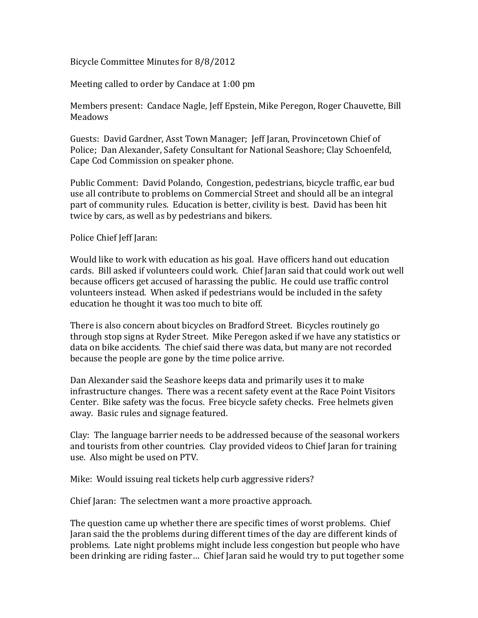## Bicycle Committee Minutes for 8/8/2012

Meeting called to order by Candace at 1:00 pm

Members present: Candace Nagle, Jeff Epstein, Mike Peregon, Roger Chauvette, Bill Meadows

Guests: David Gardner, Asst Town Manager; Jeff Jaran, Provincetown Chief of Police; Dan Alexander, Safety Consultant for National Seashore; Clay Schoenfeld, Cape Cod Commission on speaker phone.

Public Comment: David Polando, Congestion, pedestrians, bicycle traffic, ear bud use all contribute to problems on Commercial Street and should all be an integral part of community rules. Education is better, civility is best. David has been hit twice by cars, as well as by pedestrians and bikers.

Police Chief Jeff Jaran:

Would like to work with education as his goal. Have officers hand out education cards. Bill asked if volunteers could work. Chief Jaran said that could work out well because officers get accused of harassing the public. He could use traffic control volunteers instead. When asked if pedestrians would be included in the safety education he thought it was too much to bite off.

There is also concern about bicycles on Bradford Street. Bicycles routinely go through stop signs at Ryder Street. Mike Peregon asked if we have any statistics or data on bike accidents. The chief said there was data, but many are not recorded because the people are gone by the time police arrive.

Dan Alexander said the Seashore keeps data and primarily uses it to make infrastructure changes. There was a recent safety event at the Race Point Visitors Center. Bike safety was the focus. Free bicycle safety checks. Free helmets given away. Basic rules and signage featured.

Clay: The language barrier needs to be addressed because of the seasonal workers and tourists from other countries. Clay provided videos to Chief Jaran for training use. Also might be used on PTV.

Mike: Would issuing real tickets help curb aggressive riders?

Chief Jaran: The selectmen want a more proactive approach.

The question came up whether there are specific times of worst problems. Chief Jaran said the the problems during different times of the day are different kinds of problems. Late night problems might include less congestion but people who have been drinking are riding faster… Chief Jaran said he would try to put together some